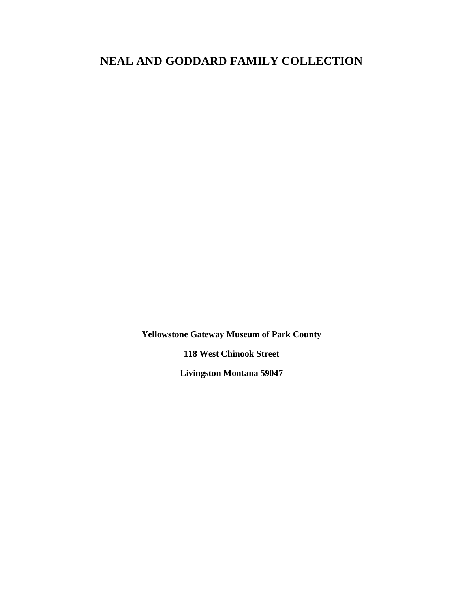# **NEAL AND GODDARD FAMILY COLLECTION**

**Yellowstone Gateway Museum of Park County**

**118 West Chinook Street**

**Livingston Montana 59047**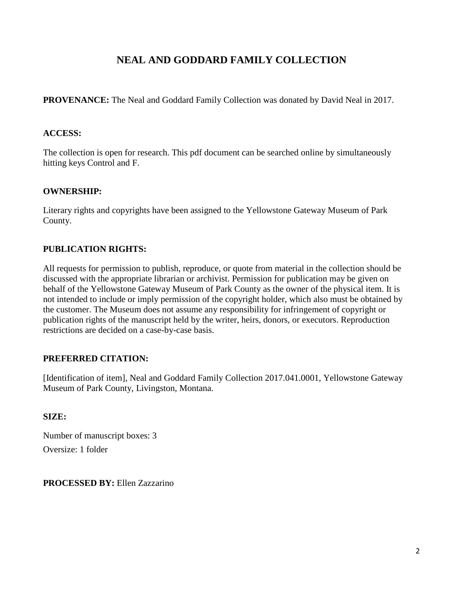### **NEAL AND GODDARD FAMILY COLLECTION**

**PROVENANCE:** The Neal and Goddard Family Collection was donated by David Neal in 2017.

### **ACCESS:**

The collection is open for research. This pdf document can be searched online by simultaneously hitting keys Control and F.

#### **OWNERSHIP:**

Literary rights and copyrights have been assigned to the Yellowstone Gateway Museum of Park County.

### **PUBLICATION RIGHTS:**

All requests for permission to publish, reproduce, or quote from material in the collection should be discussed with the appropriate librarian or archivist. Permission for publication may be given on behalf of the Yellowstone Gateway Museum of Park County as the owner of the physical item. It is not intended to include or imply permission of the copyright holder, which also must be obtained by the customer. The Museum does not assume any responsibility for infringement of copyright or publication rights of the manuscript held by the writer, heirs, donors, or executors. Reproduction restrictions are decided on a case-by-case basis.

### **PREFERRED CITATION:**

[Identification of item], Neal and Goddard Family Collection 2017.041.0001, Yellowstone Gateway Museum of Park County, Livingston, Montana.

### **SIZE:**

Number of manuscript boxes: 3 Oversize: 1 folder

**PROCESSED BY:** Ellen Zazzarino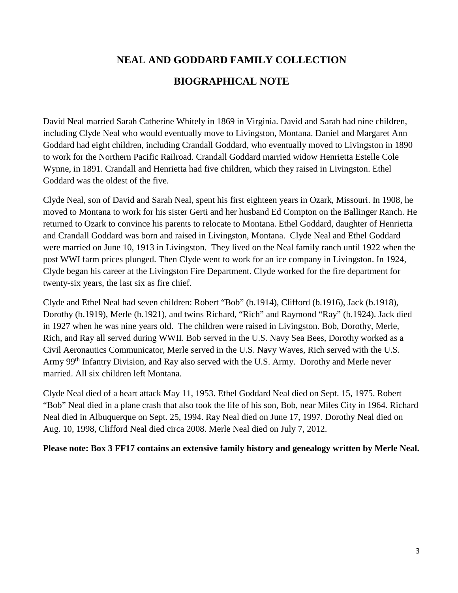# **NEAL AND GODDARD FAMILY COLLECTION BIOGRAPHICAL NOTE**

David Neal married Sarah Catherine Whitely in 1869 in Virginia. David and Sarah had nine children, including Clyde Neal who would eventually move to Livingston, Montana. Daniel and Margaret Ann Goddard had eight children, including Crandall Goddard, who eventually moved to Livingston in 1890 to work for the Northern Pacific Railroad. Crandall Goddard married widow Henrietta Estelle Cole Wynne, in 1891. Crandall and Henrietta had five children, which they raised in Livingston. Ethel Goddard was the oldest of the five.

Clyde Neal, son of David and Sarah Neal, spent his first eighteen years in Ozark, Missouri. In 1908, he moved to Montana to work for his sister Gerti and her husband Ed Compton on the Ballinger Ranch. He returned to Ozark to convince his parents to relocate to Montana. Ethel Goddard, daughter of Henrietta and Crandall Goddard was born and raised in Livingston, Montana. Clyde Neal and Ethel Goddard were married on June 10, 1913 in Livingston. They lived on the Neal family ranch until 1922 when the post WWI farm prices plunged. Then Clyde went to work for an ice company in Livingston. In 1924, Clyde began his career at the Livingston Fire Department. Clyde worked for the fire department for twenty-six years, the last six as fire chief.

Clyde and Ethel Neal had seven children: Robert "Bob" (b.1914), Clifford (b.1916), Jack (b.1918), Dorothy (b.1919), Merle (b.1921), and twins Richard, "Rich" and Raymond "Ray" (b.1924). Jack died in 1927 when he was nine years old. The children were raised in Livingston. Bob, Dorothy, Merle, Rich, and Ray all served during WWII. Bob served in the U.S. Navy Sea Bees, Dorothy worked as a Civil Aeronautics Communicator, Merle served in the U.S. Navy Waves, Rich served with the U.S. Army 99<sup>th</sup> Infantry Division, and Ray also served with the U.S. Army. Dorothy and Merle never married. All six children left Montana.

Clyde Neal died of a heart attack May 11, 1953. Ethel Goddard Neal died on Sept. 15, 1975. Robert "Bob" Neal died in a plane crash that also took the life of his son, Bob, near Miles City in 1964. Richard Neal died in Albuquerque on Sept. 25, 1994. Ray Neal died on June 17, 1997. Dorothy Neal died on Aug. 10, 1998, Clifford Neal died circa 2008. Merle Neal died on July 7, 2012.

**Please note: Box 3 FF17 contains an extensive family history and genealogy written by Merle Neal.**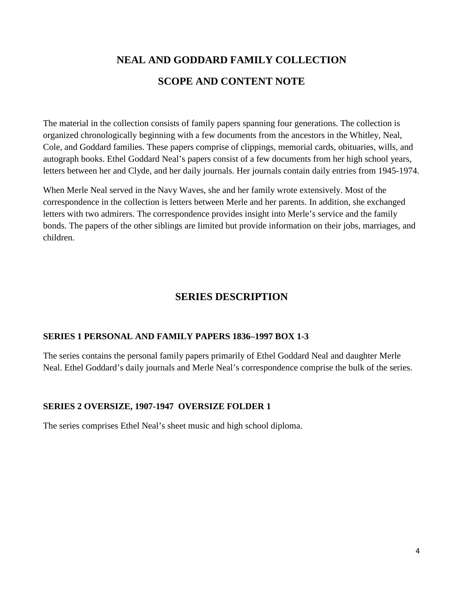# **NEAL AND GODDARD FAMILY COLLECTION SCOPE AND CONTENT NOTE**

The material in the collection consists of family papers spanning four generations. The collection is organized chronologically beginning with a few documents from the ancestors in the Whitley, Neal, Cole, and Goddard families. These papers comprise of clippings, memorial cards, obituaries, wills, and autograph books. Ethel Goddard Neal's papers consist of a few documents from her high school years, letters between her and Clyde, and her daily journals. Her journals contain daily entries from 1945-1974.

When Merle Neal served in the Navy Waves, she and her family wrote extensively. Most of the correspondence in the collection is letters between Merle and her parents. In addition, she exchanged letters with two admirers. The correspondence provides insight into Merle's service and the family bonds. The papers of the other siblings are limited but provide information on their jobs, marriages, and children.

### **SERIES DESCRIPTION**

### **SERIES 1 PERSONAL AND FAMILY PAPERS 1836–1997 BOX 1-3**

The series contains the personal family papers primarily of Ethel Goddard Neal and daughter Merle Neal. Ethel Goddard's daily journals and Merle Neal's correspondence comprise the bulk of the series.

### **SERIES 2 OVERSIZE, 1907-1947 OVERSIZE FOLDER 1**

The series comprises Ethel Neal's sheet music and high school diploma.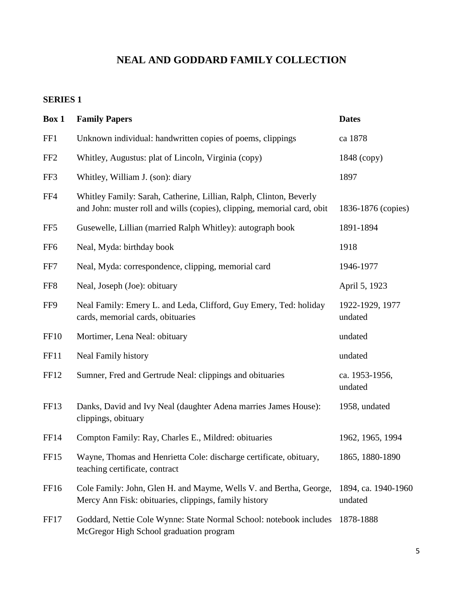## **NEAL AND GODDARD FAMILY COLLECTION**

### **SERIES 1**

| Box 1            | <b>Family Papers</b>                                                                                                                          | <b>Dates</b>                   |
|------------------|-----------------------------------------------------------------------------------------------------------------------------------------------|--------------------------------|
| FF1              | Unknown individual: handwritten copies of poems, clippings                                                                                    | ca 1878                        |
| FF <sub>2</sub>  | Whitley, Augustus: plat of Lincoln, Virginia (copy)                                                                                           | 1848 (copy)                    |
| FF3              | Whitley, William J. (son): diary                                                                                                              | 1897                           |
| FF4              | Whitley Family: Sarah, Catherine, Lillian, Ralph, Clinton, Beverly<br>and John: muster roll and wills (copies), clipping, memorial card, obit | 1836-1876 (copies)             |
| FF <sub>5</sub>  | Gusewelle, Lillian (married Ralph Whitley): autograph book                                                                                    | 1891-1894                      |
| FF <sub>6</sub>  | Neal, Myda: birthday book                                                                                                                     | 1918                           |
| FF7              | Neal, Myda: correspondence, clipping, memorial card                                                                                           | 1946-1977                      |
| FF8              | Neal, Joseph (Joe): obituary                                                                                                                  | April 5, 1923                  |
| FF9              | Neal Family: Emery L. and Leda, Clifford, Guy Emery, Ted: holiday<br>cards, memorial cards, obituaries                                        | 1922-1929, 1977<br>undated     |
| <b>FF10</b>      | Mortimer, Lena Neal: obituary                                                                                                                 | undated                        |
| FF11             | <b>Neal Family history</b>                                                                                                                    | undated                        |
| FF12             | Sumner, Fred and Gertrude Neal: clippings and obituaries                                                                                      | ca. 1953-1956,<br>undated      |
| FF13             | Danks, David and Ivy Neal (daughter Adena marries James House):<br>clippings, obituary                                                        | 1958, undated                  |
| FF14             | Compton Family: Ray, Charles E., Mildred: obituaries                                                                                          | 1962, 1965, 1994               |
| FF <sub>15</sub> | Wayne, Thomas and Henrietta Cole: discharge certificate, obituary,<br>teaching certificate, contract                                          | 1865, 1880-1890                |
| FF <sub>16</sub> | Cole Family: John, Glen H. and Mayme, Wells V. and Bertha, George,<br>Mercy Ann Fisk: obituaries, clippings, family history                   | 1894, ca. 1940-1960<br>undated |
| FF17             | Goddard, Nettie Cole Wynne: State Normal School: notebook includes<br>McGregor High School graduation program                                 | 1878-1888                      |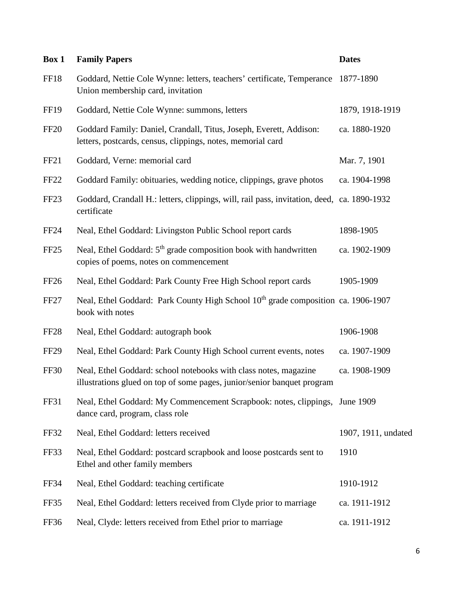| Box 1            | <b>Family Papers</b>                                                                                                                        | <b>Dates</b>        |
|------------------|---------------------------------------------------------------------------------------------------------------------------------------------|---------------------|
| <b>FF18</b>      | Goddard, Nettie Cole Wynne: letters, teachers' certificate, Temperance<br>Union membership card, invitation                                 | 1877-1890           |
| <b>FF19</b>      | Goddard, Nettie Cole Wynne: summons, letters                                                                                                | 1879, 1918-1919     |
| <b>FF20</b>      | Goddard Family: Daniel, Crandall, Titus, Joseph, Everett, Addison:<br>letters, postcards, census, clippings, notes, memorial card           | ca. 1880-1920       |
| FF21             | Goddard, Verne: memorial card                                                                                                               | Mar. 7, 1901        |
| FF <sub>22</sub> | Goddard Family: obituaries, wedding notice, clippings, grave photos                                                                         | ca. 1904-1998       |
| FF <sub>23</sub> | Goddard, Crandall H.: letters, clippings, will, rail pass, invitation, deed, ca. 1890-1932<br>certificate                                   |                     |
| <b>FF24</b>      | Neal, Ethel Goddard: Livingston Public School report cards                                                                                  | 1898-1905           |
| FF <sub>25</sub> | Neal, Ethel Goddard: 5 <sup>th</sup> grade composition book with handwritten<br>copies of poems, notes on commencement                      | ca. 1902-1909       |
| FF <sub>26</sub> | Neal, Ethel Goddard: Park County Free High School report cards                                                                              | 1905-1909           |
| FF <sub>27</sub> | Neal, Ethel Goddard: Park County High School 10 <sup>th</sup> grade composition ca. 1906-1907<br>book with notes                            |                     |
| FF <sub>28</sub> | Neal, Ethel Goddard: autograph book                                                                                                         | 1906-1908           |
| FF <sub>29</sub> | Neal, Ethel Goddard: Park County High School current events, notes                                                                          | ca. 1907-1909       |
| <b>FF30</b>      | Neal, Ethel Goddard: school notebooks with class notes, magazine<br>illustrations glued on top of some pages, junior/senior banquet program | ca. 1908-1909       |
| <b>FF31</b>      | Neal, Ethel Goddard: My Commencement Scrapbook: notes, clippings, June 1909<br>dance card, program, class role                              |                     |
| <b>FF32</b>      | Neal, Ethel Goddard: letters received                                                                                                       | 1907, 1911, undated |
| FF33             | Neal, Ethel Goddard: postcard scrapbook and loose postcards sent to<br>Ethel and other family members                                       | 1910                |
| FF34             | Neal, Ethel Goddard: teaching certificate                                                                                                   | 1910-1912           |
| FF35             | Neal, Ethel Goddard: letters received from Clyde prior to marriage                                                                          | ca. 1911-1912       |
| <b>FF36</b>      | Neal, Clyde: letters received from Ethel prior to marriage                                                                                  | ca. 1911-1912       |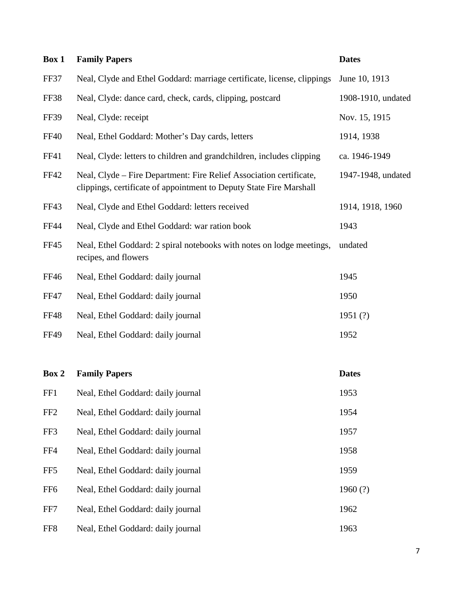| Box 1       | <b>Family Papers</b>                                                                                                                       | <b>Dates</b>       |
|-------------|--------------------------------------------------------------------------------------------------------------------------------------------|--------------------|
| FF37        | Neal, Clyde and Ethel Goddard: marriage certificate, license, clippings                                                                    | June 10, 1913      |
| <b>FF38</b> | Neal, Clyde: dance card, check, cards, clipping, postcard                                                                                  | 1908-1910, undated |
| <b>FF39</b> | Neal, Clyde: receipt                                                                                                                       | Nov. 15, 1915      |
| <b>FF40</b> | Neal, Ethel Goddard: Mother's Day cards, letters                                                                                           | 1914, 1938         |
| FF41        | Neal, Clyde: letters to children and grandchildren, includes clipping                                                                      | ca. 1946-1949      |
| <b>FF42</b> | Neal, Clyde – Fire Department: Fire Relief Association certificate,<br>clippings, certificate of appointment to Deputy State Fire Marshall | 1947-1948, undated |
| <b>FF43</b> | Neal, Clyde and Ethel Goddard: letters received                                                                                            | 1914, 1918, 1960   |
| <b>FF44</b> | Neal, Clyde and Ethel Goddard: war ration book                                                                                             | 1943               |
| <b>FF45</b> | Neal, Ethel Goddard: 2 spiral notebooks with notes on lodge meetings,<br>recipes, and flowers                                              | undated            |
| FF46        | Neal, Ethel Goddard: daily journal                                                                                                         | 1945               |
| <b>FF47</b> | Neal, Ethel Goddard: daily journal                                                                                                         | 1950               |
| <b>FF48</b> | Neal, Ethel Goddard: daily journal                                                                                                         | 1951 $(?)$         |
| <b>FF49</b> | Neal, Ethel Goddard: daily journal                                                                                                         | 1952               |
|             |                                                                                                                                            |                    |

| Box 2           | <b>Family Papers</b>               | <b>Dates</b> |
|-----------------|------------------------------------|--------------|
| FF1             | Neal, Ethel Goddard: daily journal | 1953         |
| FF <sub>2</sub> | Neal, Ethel Goddard: daily journal | 1954         |
| FF3             | Neal, Ethel Goddard: daily journal | 1957         |
| FF4             | Neal, Ethel Goddard: daily journal | 1958         |
| FF <sub>5</sub> | Neal, Ethel Goddard: daily journal | 1959         |
| FF <sub>6</sub> | Neal, Ethel Goddard: daily journal | 1960 $(?)$   |
| FF7             | Neal, Ethel Goddard: daily journal | 1962         |
| FF <sub>8</sub> | Neal, Ethel Goddard: daily journal | 1963         |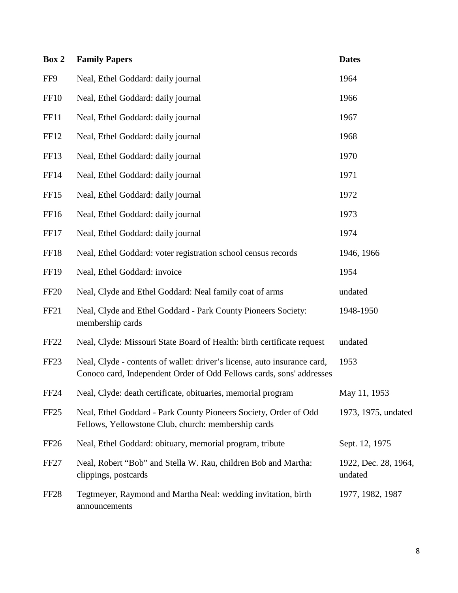| Box 2            | <b>Family Papers</b>                                                                                                                             | <b>Dates</b>                    |
|------------------|--------------------------------------------------------------------------------------------------------------------------------------------------|---------------------------------|
| FF9              | Neal, Ethel Goddard: daily journal                                                                                                               | 1964                            |
| <b>FF10</b>      | Neal, Ethel Goddard: daily journal                                                                                                               | 1966                            |
| FF11             | Neal, Ethel Goddard: daily journal                                                                                                               | 1967                            |
| FF12             | Neal, Ethel Goddard: daily journal                                                                                                               | 1968                            |
| FF13             | Neal, Ethel Goddard: daily journal                                                                                                               | 1970                            |
| FF14             | Neal, Ethel Goddard: daily journal                                                                                                               | 1971                            |
| FF <sub>15</sub> | Neal, Ethel Goddard: daily journal                                                                                                               | 1972                            |
| FF16             | Neal, Ethel Goddard: daily journal                                                                                                               | 1973                            |
| FF17             | Neal, Ethel Goddard: daily journal                                                                                                               | 1974                            |
| FF18             | Neal, Ethel Goddard: voter registration school census records                                                                                    | 1946, 1966                      |
| FF19             | Neal, Ethel Goddard: invoice                                                                                                                     | 1954                            |
| <b>FF20</b>      | Neal, Clyde and Ethel Goddard: Neal family coat of arms                                                                                          | undated                         |
| FF <sub>21</sub> | Neal, Clyde and Ethel Goddard - Park County Pioneers Society:<br>membership cards                                                                | 1948-1950                       |
| <b>FF22</b>      | Neal, Clyde: Missouri State Board of Health: birth certificate request                                                                           | undated                         |
| FF <sub>23</sub> | Neal, Clyde - contents of wallet: driver's license, auto insurance card,<br>Conoco card, Independent Order of Odd Fellows cards, sons' addresses | 1953                            |
| <b>FF24</b>      | Neal, Clyde: death certificate, obituaries, memorial program                                                                                     | May 11, 1953                    |
| FF <sub>25</sub> | Neal, Ethel Goddard - Park County Pioneers Society, Order of Odd<br>Fellows, Yellowstone Club, church: membership cards                          | 1973, 1975, undated             |
| FF <sub>26</sub> | Neal, Ethel Goddard: obituary, memorial program, tribute                                                                                         | Sept. 12, 1975                  |
| FF <sub>27</sub> | Neal, Robert "Bob" and Stella W. Rau, children Bob and Martha:<br>clippings, postcards                                                           | 1922, Dec. 28, 1964,<br>undated |
| FF <sub>28</sub> | Tegtmeyer, Raymond and Martha Neal: wedding invitation, birth<br>announcements                                                                   | 1977, 1982, 1987                |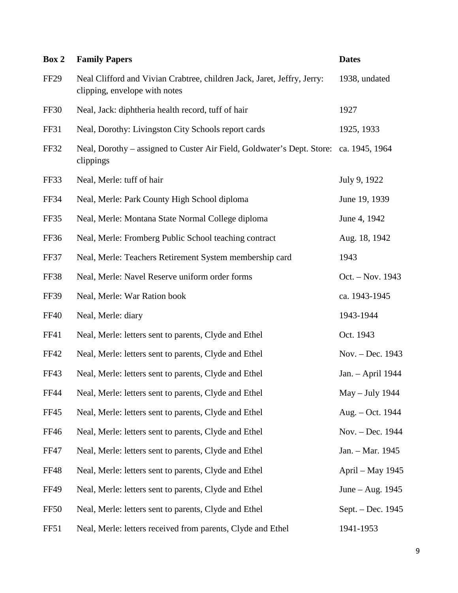| Box 2            | <b>Family Papers</b>                                                                                     | <b>Dates</b>       |
|------------------|----------------------------------------------------------------------------------------------------------|--------------------|
| FF <sub>29</sub> | Neal Clifford and Vivian Crabtree, children Jack, Jaret, Jeffry, Jerry:<br>clipping, envelope with notes | 1938, undated      |
| <b>FF30</b>      | Neal, Jack: diphtheria health record, tuff of hair                                                       | 1927               |
| FF31             | Neal, Dorothy: Livingston City Schools report cards                                                      | 1925, 1933         |
| <b>FF32</b>      | Neal, Dorothy – assigned to Custer Air Field, Goldwater's Dept. Store: ca. 1945, 1964<br>clippings       |                    |
| FF33             | Neal, Merle: tuff of hair                                                                                | July 9, 1922       |
| <b>FF34</b>      | Neal, Merle: Park County High School diploma                                                             | June 19, 1939      |
| FF35             | Neal, Merle: Montana State Normal College diploma                                                        | June 4, 1942       |
| <b>FF36</b>      | Neal, Merle: Fromberg Public School teaching contract                                                    | Aug. 18, 1942      |
| FF37             | Neal, Merle: Teachers Retirement System membership card                                                  | 1943               |
| <b>FF38</b>      | Neal, Merle: Navel Reserve uniform order forms                                                           | Oct. – Nov. 1943   |
| <b>FF39</b>      | Neal, Merle: War Ration book                                                                             | ca. 1943-1945      |
| <b>FF40</b>      | Neal, Merle: diary                                                                                       | 1943-1944          |
| FF41             | Neal, Merle: letters sent to parents, Clyde and Ethel                                                    | Oct. 1943          |
| <b>FF42</b>      | Neal, Merle: letters sent to parents, Clyde and Ethel                                                    | Nov. – Dec. 1943   |
| FF43             | Neal, Merle: letters sent to parents, Clyde and Ethel                                                    | Jan. - April 1944  |
| <b>FF44</b>      | Neal, Merle: letters sent to parents, Clyde and Ethel                                                    | May - July 1944    |
| <b>FF45</b>      | Neal, Merle: letters sent to parents, Clyde and Ethel                                                    | Aug. – Oct. 1944   |
| <b>FF46</b>      | Neal, Merle: letters sent to parents, Clyde and Ethel                                                    | Nov. - Dec. 1944   |
| <b>FF47</b>      | Neal, Merle: letters sent to parents, Clyde and Ethel                                                    | Jan. - Mar. 1945   |
| <b>FF48</b>      | Neal, Merle: letters sent to parents, Clyde and Ethel                                                    | April - May 1945   |
| <b>FF49</b>      | Neal, Merle: letters sent to parents, Clyde and Ethel                                                    | June $-$ Aug. 1945 |
| <b>FF50</b>      | Neal, Merle: letters sent to parents, Clyde and Ethel                                                    | Sept. - Dec. 1945  |
| FF51             | Neal, Merle: letters received from parents, Clyde and Ethel                                              | 1941-1953          |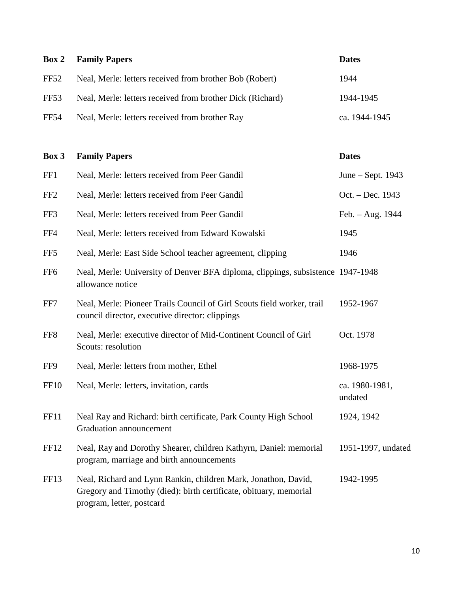|             | <b>Box 2</b> Family Papers                                | <b>Dates</b>  |
|-------------|-----------------------------------------------------------|---------------|
| FF52        | Neal, Merle: letters received from brother Bob (Robert)   | 1944          |
| FF53        | Neal, Merle: letters received from brother Dick (Richard) | 1944-1945     |
| <b>FF54</b> | Neal, Merle: letters received from brother Ray            | ca. 1944-1945 |

| Box 3           | <b>Family Papers</b>                                                                                                                                             | <b>Dates</b>              |
|-----------------|------------------------------------------------------------------------------------------------------------------------------------------------------------------|---------------------------|
| FF1             | Neal, Merle: letters received from Peer Gandil                                                                                                                   | June – Sept. 1943         |
| FF <sub>2</sub> | Neal, Merle: letters received from Peer Gandil                                                                                                                   | Oct. - Dec. 1943          |
| FF3             | Neal, Merle: letters received from Peer Gandil                                                                                                                   | Feb. - Aug. 1944          |
| FF4             | Neal, Merle: letters received from Edward Kowalski                                                                                                               | 1945                      |
| FF <sub>5</sub> | Neal, Merle: East Side School teacher agreement, clipping                                                                                                        | 1946                      |
| FF <sub>6</sub> | Neal, Merle: University of Denver BFA diploma, clippings, subsistence 1947-1948<br>allowance notice                                                              |                           |
| FF7             | Neal, Merle: Pioneer Trails Council of Girl Scouts field worker, trail<br>council director, executive director: clippings                                        | 1952-1967                 |
| FF <sub>8</sub> | Neal, Merle: executive director of Mid-Continent Council of Girl<br>Scouts: resolution                                                                           | Oct. 1978                 |
| FF9             | Neal, Merle: letters from mother, Ethel                                                                                                                          | 1968-1975                 |
| <b>FF10</b>     | Neal, Merle: letters, invitation, cards                                                                                                                          | ca. 1980-1981,<br>undated |
| FF11            | Neal Ray and Richard: birth certificate, Park County High School<br>Graduation announcement                                                                      | 1924, 1942                |
| FF12            | Neal, Ray and Dorothy Shearer, children Kathyrn, Daniel: memorial<br>program, marriage and birth announcements                                                   | 1951-1997, undated        |
| FF13            | Neal, Richard and Lynn Rankin, children Mark, Jonathon, David,<br>Gregory and Timothy (died): birth certificate, obituary, memorial<br>program, letter, postcard | 1942-1995                 |